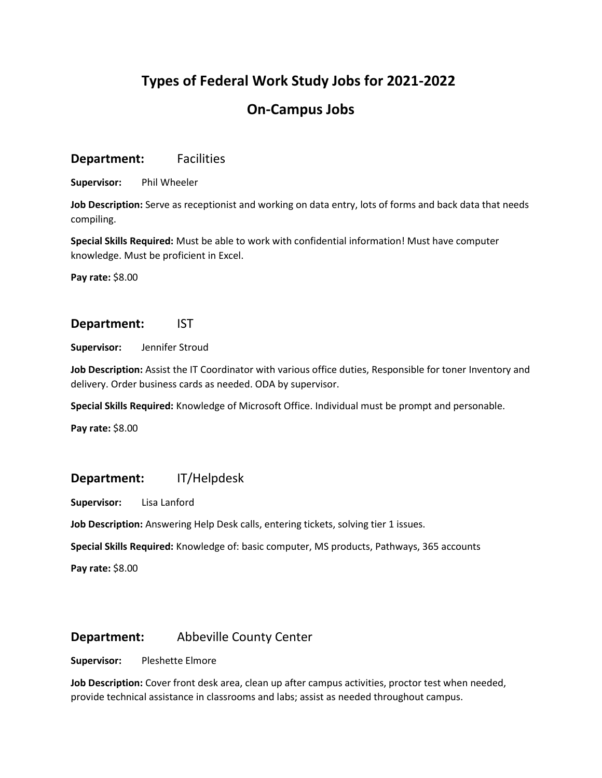# **Types of Federal Work Study Jobs for 2021-2022**

# **On-Campus Jobs**

# **Department:** Facilities

**Supervisor:** Phil Wheeler

**Job Description:** Serve as receptionist and working on data entry, lots of forms and back data that needs compiling.

**Special Skills Required:** Must be able to work with confidential information! Must have computer knowledge. Must be proficient in Excel.

**Pay rate:** \$8.00

## **Department:** IST

**Supervisor:** Jennifer Stroud

**Job Description:** Assist the IT Coordinator with various office duties, Responsible for toner Inventory and delivery. Order business cards as needed. ODA by supervisor.

**Special Skills Required:** Knowledge of Microsoft Office. Individual must be prompt and personable.

**Pay rate:** \$8.00

## **Department:** IT/Helpdesk

**Supervisor:** Lisa Lanford

**Job Description:** Answering Help Desk calls, entering tickets, solving tier 1 issues.

**Special Skills Required:** Knowledge of: basic computer, MS products, Pathways, 365 accounts

**Pay rate:** \$8.00

# **Department:** Abbeville County Center

**Supervisor:** Pleshette Elmore

**Job Description:** Cover front desk area, clean up after campus activities, proctor test when needed, provide technical assistance in classrooms and labs; assist as needed throughout campus.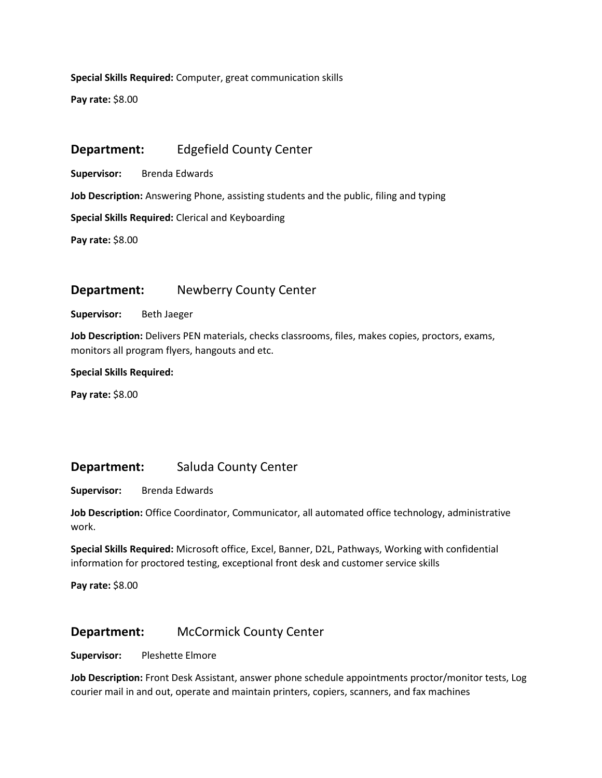**Special Skills Required:** Computer, great communication skills

**Pay rate:** \$8.00

# **Department:** Edgefield County Center

**Supervisor:** Brenda Edwards

**Job Description:** Answering Phone, assisting students and the public, filing and typing

**Special Skills Required:** Clerical and Keyboarding

**Pay rate:** \$8.00

# **Department:** Newberry County Center

**Supervisor:** Beth Jaeger

**Job Description:** Delivers PEN materials, checks classrooms, files, makes copies, proctors, exams, monitors all program flyers, hangouts and etc.

#### **Special Skills Required:**

**Pay rate:** \$8.00

## **Department:** Saluda County Center

**Supervisor:** Brenda Edwards

**Job Description:** Office Coordinator, Communicator, all automated office technology, administrative work.

**Special Skills Required:** Microsoft office, Excel, Banner, D2L, Pathways, Working with confidential information for proctored testing, exceptional front desk and customer service skills

**Pay rate:** \$8.00

## **Department:** McCormick County Center

**Supervisor:** Pleshette Elmore

**Job Description:** Front Desk Assistant, answer phone schedule appointments proctor/monitor tests, Log courier mail in and out, operate and maintain printers, copiers, scanners, and fax machines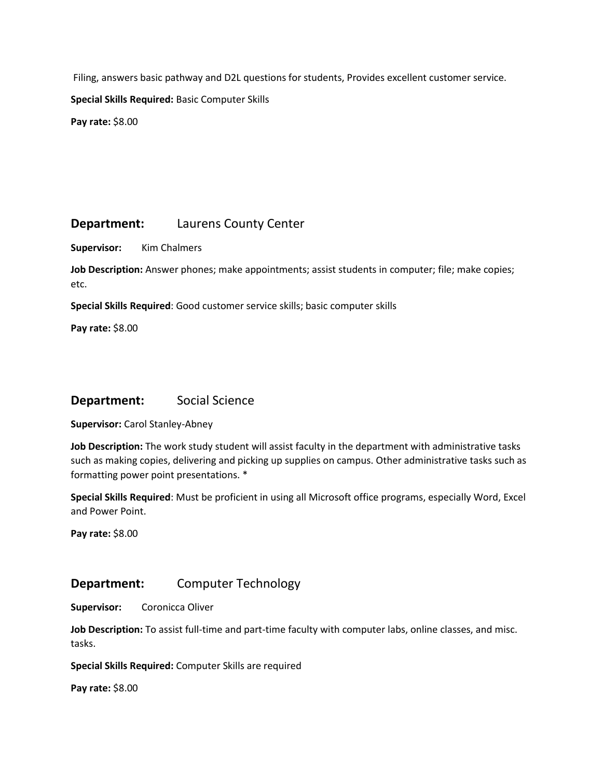Filing, answers basic pathway and D2L questions for students, Provides excellent customer service.

**Special Skills Required:** Basic Computer Skills

**Pay rate:** \$8.00

# **Department:** Laurens County Center

**Supervisor:** Kim Chalmers

**Job Description:** Answer phones; make appointments; assist students in computer; file; make copies; etc.

**Special Skills Required**: Good customer service skills; basic computer skills

**Pay rate:** \$8.00

## **Department:** Social Science

**Supervisor:** Carol Stanley-Abney

**Job Description:** The work study student will assist faculty in the department with administrative tasks such as making copies, delivering and picking up supplies on campus. Other administrative tasks such as formatting power point presentations. \*

**Special Skills Required**: Must be proficient in using all Microsoft office programs, especially Word, Excel and Power Point.

**Pay rate:** \$8.00

## **Department:** Computer Technology

**Supervisor:** Coronicca Oliver

**Job Description:** To assist full-time and part-time faculty with computer labs, online classes, and misc. tasks.

**Special Skills Required:** Computer Skills are required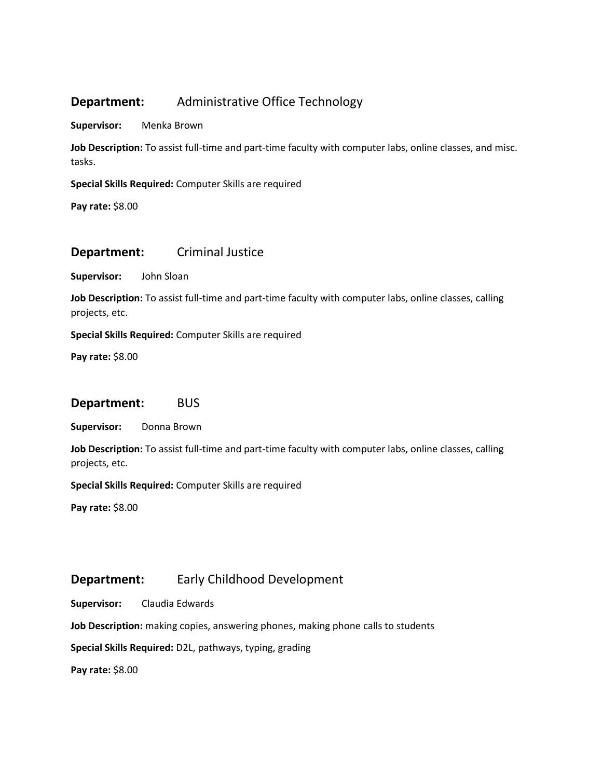# **Department:** Administrative Office Technology

**Supervisor:** Menka Brown

**Job Description:** To assist full-time and part-time faculty with computer labs, online classes, and misc. tasks.

**Special Skills Required:** Computer Skills are required

**Pay rate:** \$8.00

### **Department:** Criminal Justice

**Supervisor:** John Sloan

**Job Description:** To assist full-time and part-time faculty with computer labs, online classes, calling projects, etc.

**Special Skills Required:** Computer Skills are required

**Pay rate:** \$8.00

#### **Department:** BUS

**Supervisor:** Donna Brown

**Job Description:** To assist full-time and part-time faculty with computer labs, online classes, calling projects, etc.

**Special Skills Required:** Computer Skills are required

**Pay rate:** \$8.00

# **Department:** Early Childhood Development

**Supervisor:** Claudia Edwards

**Job Description:** making copies, answering phones, making phone calls to students

**Special Skills Required:** D2L, pathways, typing, grading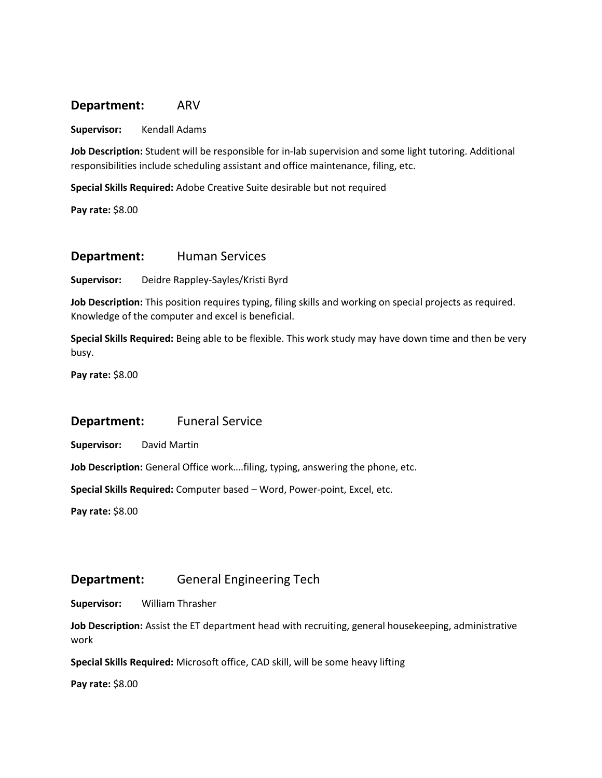### **Department:** ARV

**Supervisor:** Kendall Adams

**Job Description:** Student will be responsible for in-lab supervision and some light tutoring. Additional responsibilities include scheduling assistant and office maintenance, filing, etc.

**Special Skills Required:** Adobe Creative Suite desirable but not required

**Pay rate:** \$8.00

#### **Department:** Human Services

**Supervisor:** Deidre Rappley-Sayles/Kristi Byrd

**Job Description:** This position requires typing, filing skills and working on special projects as required. Knowledge of the computer and excel is beneficial.

**Special Skills Required:** Being able to be flexible. This work study may have down time and then be very busy.

**Pay rate:** \$8.00

### **Department:** Funeral Service

**Supervisor:** David Martin

**Job Description:** General Office work….filing, typing, answering the phone, etc.

**Special Skills Required:** Computer based – Word, Power-point, Excel, etc.

**Pay rate:** \$8.00

### **Department:** General Engineering Tech

**Supervisor:** William Thrasher

**Job Description:** Assist the ET department head with recruiting, general housekeeping, administrative work

**Special Skills Required:** Microsoft office, CAD skill, will be some heavy lifting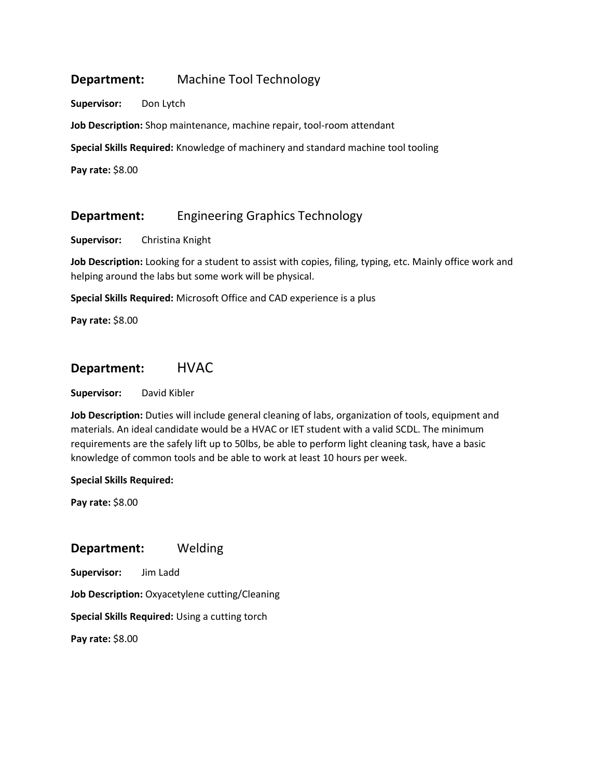# **Department:** Machine Tool Technology

**Supervisor:** Don Lytch

**Job Description:** Shop maintenance, machine repair, tool-room attendant

**Special Skills Required:** Knowledge of machinery and standard machine tool tooling

**Pay rate:** \$8.00

## **Department:** Engineering Graphics Technology

**Supervisor:** Christina Knight

**Job Description:** Looking for a student to assist with copies, filing, typing, etc. Mainly office work and helping around the labs but some work will be physical.

**Special Skills Required:** Microsoft Office and CAD experience is a plus

**Pay rate:** \$8.00

# **Department:** HVAC

**Supervisor:** David Kibler

**Job Description:** Duties will include general cleaning of labs, organization of tools, equipment and materials. An ideal candidate would be a HVAC or IET student with a valid SCDL. The minimum requirements are the safely lift up to 50lbs, be able to perform light cleaning task, have a basic knowledge of common tools and be able to work at least 10 hours per week.

#### **Special Skills Required:**

**Pay rate:** \$8.00

### **Department:** Welding

**Supervisor:** Jim Ladd

**Job Description:** Oxyacetylene cutting/Cleaning

**Special Skills Required:** Using a cutting torch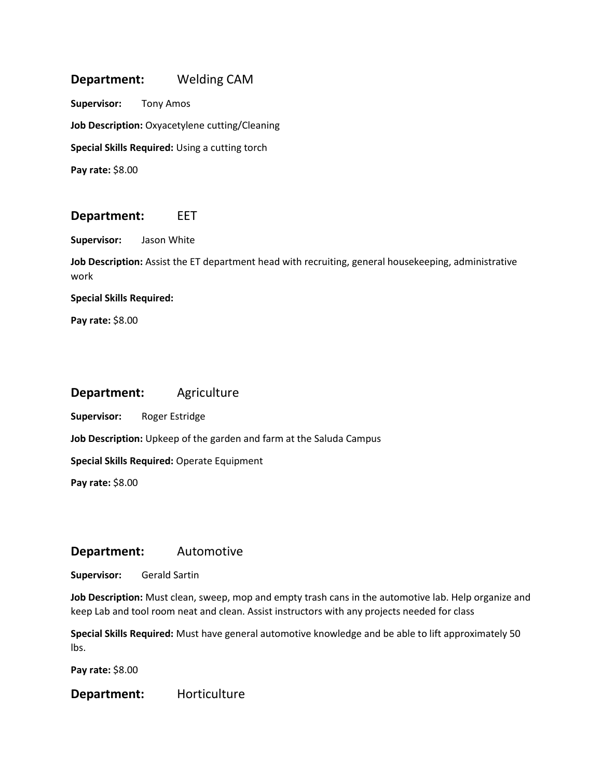# **Department:** Welding CAM

**Supervisor:** Tony Amos **Job Description:** Oxyacetylene cutting/Cleaning **Special Skills Required:** Using a cutting torch **Pay rate:** \$8.00

### **Department:** EET

**Supervisor:** Jason White

**Job Description:** Assist the ET department head with recruiting, general housekeeping, administrative work

**Special Skills Required:**

**Pay rate:** \$8.00

### **Department:** Agriculture

**Supervisor:** Roger Estridge

**Job Description:** Upkeep of the garden and farm at the Saluda Campus

**Special Skills Required:** Operate Equipment

**Pay rate:** \$8.00

### **Department:** Automotive

**Supervisor:** Gerald Sartin

**Job Description:** Must clean, sweep, mop and empty trash cans in the automotive lab. Help organize and keep Lab and tool room neat and clean. Assist instructors with any projects needed for class

**Special Skills Required:** Must have general automotive knowledge and be able to lift approximately 50 lbs.

**Pay rate:** \$8.00

**Department:** Horticulture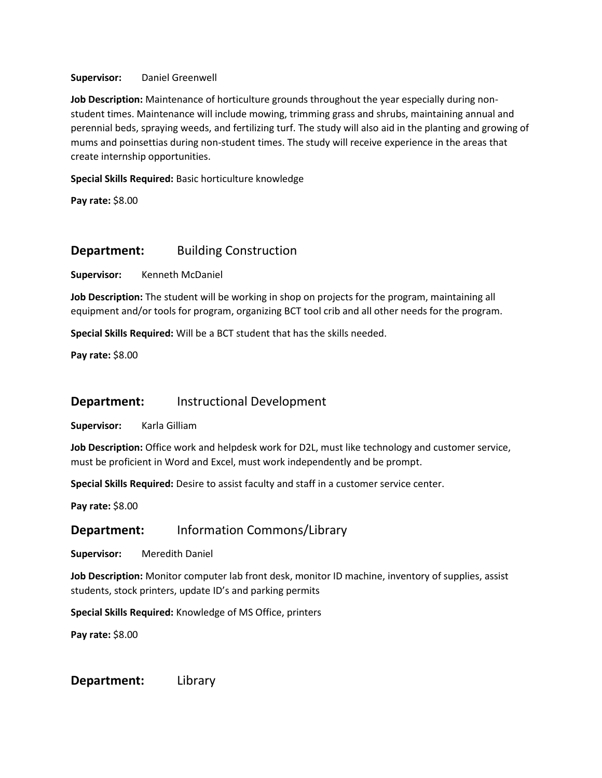#### **Supervisor:** Daniel Greenwell

**Job Description:** Maintenance of horticulture grounds throughout the year especially during nonstudent times. Maintenance will include mowing, trimming grass and shrubs, maintaining annual and perennial beds, spraying weeds, and fertilizing turf. The study will also aid in the planting and growing of mums and poinsettias during non-student times. The study will receive experience in the areas that create internship opportunities.

**Special Skills Required:** Basic horticulture knowledge

**Pay rate:** \$8.00

# **Department:** Building Construction

**Supervisor:** Kenneth McDaniel

**Job Description:** The student will be working in shop on projects for the program, maintaining all equipment and/or tools for program, organizing BCT tool crib and all other needs for the program.

**Special Skills Required:** Will be a BCT student that has the skills needed.

**Pay rate:** \$8.00

## **Department:** Instructional Development

**Supervisor:** Karla Gilliam

**Job Description:** Office work and helpdesk work for D2L, must like technology and customer service, must be proficient in Word and Excel, must work independently and be prompt.

**Special Skills Required:** Desire to assist faculty and staff in a customer service center.

**Pay rate:** \$8.00

## **Department:** Information Commons/Library

**Supervisor:** Meredith Daniel

**Job Description:** Monitor computer lab front desk, monitor ID machine, inventory of supplies, assist students, stock printers, update ID's and parking permits

**Special Skills Required:** Knowledge of MS Office, printers

**Pay rate:** \$8.00

**Department:** Library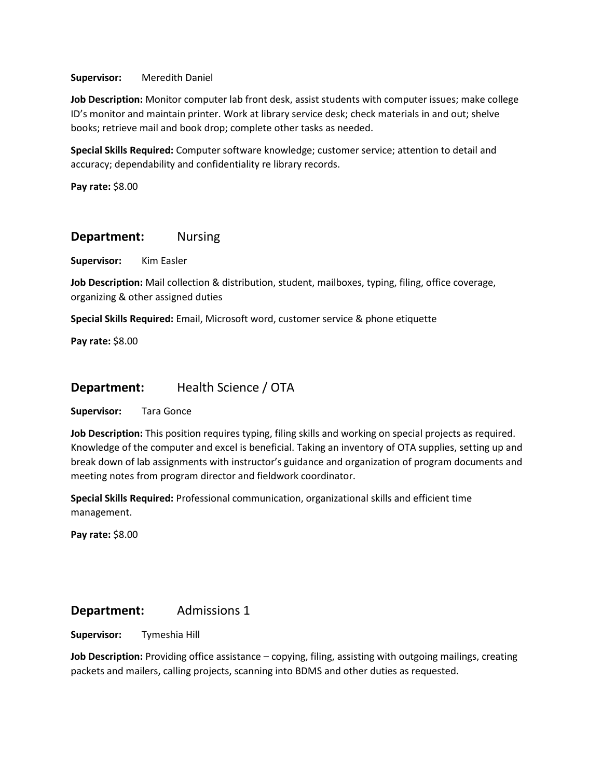#### **Supervisor:** Meredith Daniel

**Job Description:** Monitor computer lab front desk, assist students with computer issues; make college ID's monitor and maintain printer. Work at library service desk; check materials in and out; shelve books; retrieve mail and book drop; complete other tasks as needed.

**Special Skills Required:** Computer software knowledge; customer service; attention to detail and accuracy; dependability and confidentiality re library records.

**Pay rate:** \$8.00

### **Department:** Nursing

**Supervisor:** Kim Easler

**Job Description:** Mail collection & distribution, student, mailboxes, typing, filing, office coverage, organizing & other assigned duties

**Special Skills Required:** Email, Microsoft word, customer service & phone etiquette

**Pay rate:** \$8.00

## **Department:** Health Science / OTA

**Supervisor:** Tara Gonce

**Job Description:** This position requires typing, filing skills and working on special projects as required. Knowledge of the computer and excel is beneficial. Taking an inventory of OTA supplies, setting up and break down of lab assignments with instructor's guidance and organization of program documents and meeting notes from program director and fieldwork coordinator.

**Special Skills Required:** Professional communication, organizational skills and efficient time management.

**Pay rate:** \$8.00

## **Department:** Admissions 1

**Supervisor:** Tymeshia Hill

**Job Description:** Providing office assistance – copying, filing, assisting with outgoing mailings, creating packets and mailers, calling projects, scanning into BDMS and other duties as requested.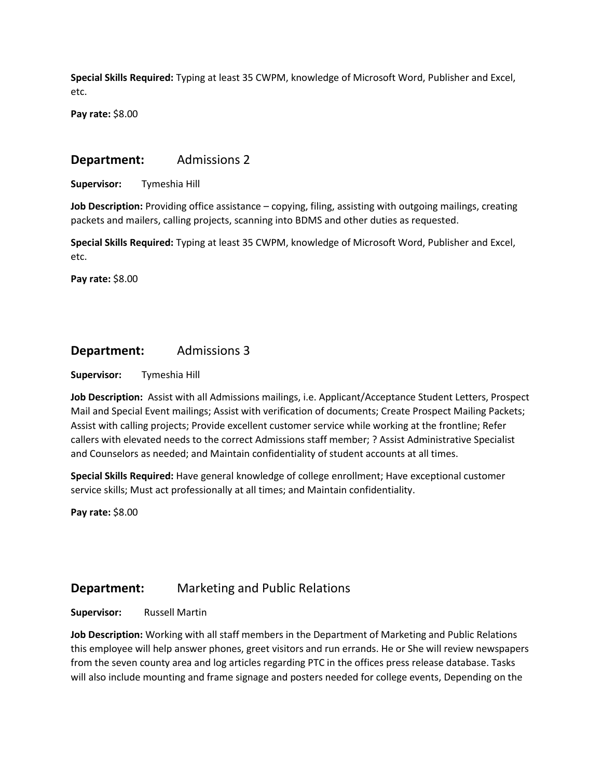**Special Skills Required:** Typing at least 35 CWPM, knowledge of Microsoft Word, Publisher and Excel, etc.

**Pay rate:** \$8.00

### **Department:** Admissions 2

**Supervisor:** Tymeshia Hill

**Job Description:** Providing office assistance – copying, filing, assisting with outgoing mailings, creating packets and mailers, calling projects, scanning into BDMS and other duties as requested.

**Special Skills Required:** Typing at least 35 CWPM, knowledge of Microsoft Word, Publisher and Excel, etc.

**Pay rate:** \$8.00

# **Department:** Admissions 3

**Supervisor:** Tymeshia Hill

**Job Description:** Assist with all Admissions mailings, i.e. Applicant/Acceptance Student Letters, Prospect Mail and Special Event mailings; Assist with verification of documents; Create Prospect Mailing Packets; Assist with calling projects; Provide excellent customer service while working at the frontline; Refer callers with elevated needs to the correct Admissions staff member; ? Assist Administrative Specialist and Counselors as needed; and Maintain confidentiality of student accounts at all times.

**Special Skills Required:** Have general knowledge of college enrollment; Have exceptional customer service skills; Must act professionally at all times; and Maintain confidentiality.

**Pay rate:** \$8.00

## **Department:** Marketing and Public Relations

**Supervisor:** Russell Martin

**Job Description:** Working with all staff members in the Department of Marketing and Public Relations this employee will help answer phones, greet visitors and run errands. He or She will review newspapers from the seven county area and log articles regarding PTC in the offices press release database. Tasks will also include mounting and frame signage and posters needed for college events, Depending on the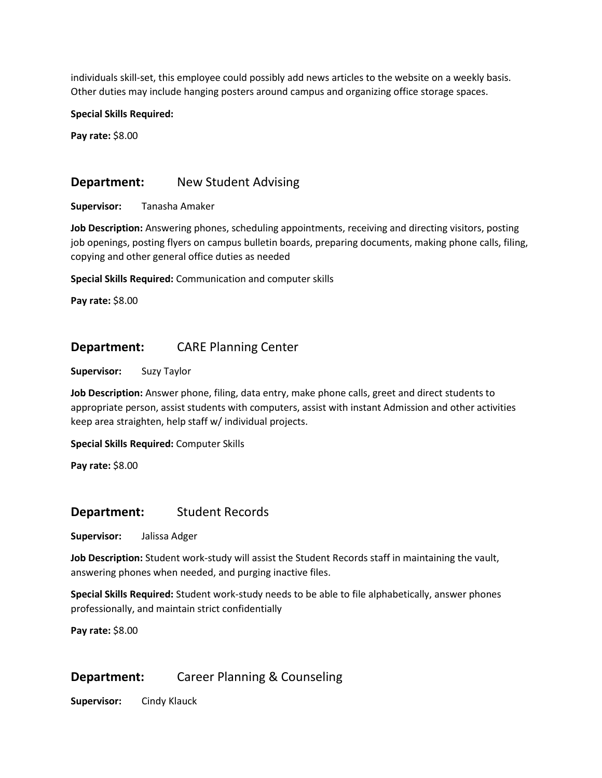individuals skill-set, this employee could possibly add news articles to the website on a weekly basis. Other duties may include hanging posters around campus and organizing office storage spaces.

#### **Special Skills Required:**

**Pay rate:** \$8.00

### **Department:** New Student Advising

**Supervisor:** Tanasha Amaker

**Job Description:** Answering phones, scheduling appointments, receiving and directing visitors, posting job openings, posting flyers on campus bulletin boards, preparing documents, making phone calls, filing, copying and other general office duties as needed

**Special Skills Required:** Communication and computer skills

**Pay rate:** \$8.00

## **Department:** CARE Planning Center

**Supervisor:** Suzy Taylor

**Job Description:** Answer phone, filing, data entry, make phone calls, greet and direct students to appropriate person, assist students with computers, assist with instant Admission and other activities keep area straighten, help staff w/ individual projects.

**Special Skills Required:** Computer Skills

**Pay rate:** \$8.00

### **Department:** Student Records

**Supervisor:** Jalissa Adger

**Job Description:** Student work-study will assist the Student Records staff in maintaining the vault, answering phones when needed, and purging inactive files.

**Special Skills Required:** Student work-study needs to be able to file alphabetically, answer phones professionally, and maintain strict confidentially

**Pay rate:** \$8.00

## **Department:** Career Planning & Counseling

**Supervisor:** Cindy Klauck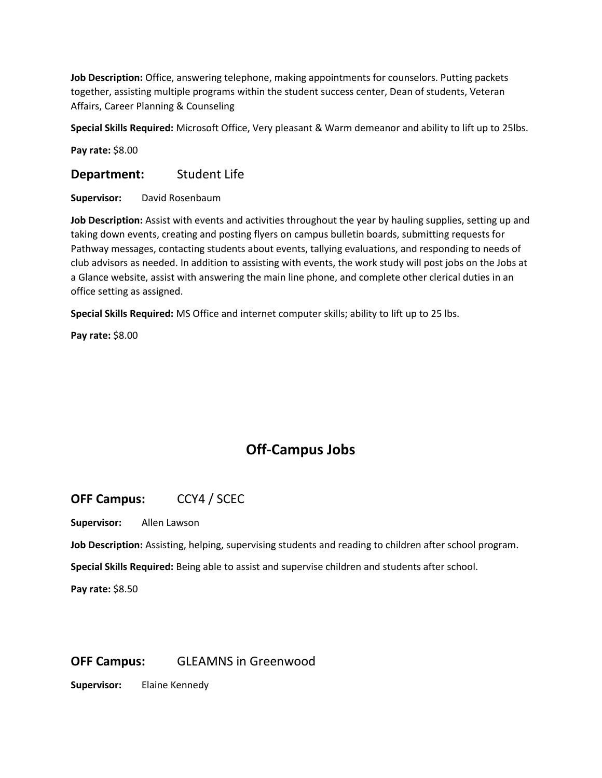**Job Description:** Office, answering telephone, making appointments for counselors. Putting packets together, assisting multiple programs within the student success center, Dean of students, Veteran Affairs, Career Planning & Counseling

**Special Skills Required:** Microsoft Office, Very pleasant & Warm demeanor and ability to lift up to 25lbs.

**Pay rate:** \$8.00

**Department:** Student Life

**Supervisor:** David Rosenbaum

**Job Description:** Assist with events and activities throughout the year by hauling supplies, setting up and taking down events, creating and posting flyers on campus bulletin boards, submitting requests for Pathway messages, contacting students about events, tallying evaluations, and responding to needs of club advisors as needed. In addition to assisting with events, the work study will post jobs on the Jobs at a Glance website, assist with answering the main line phone, and complete other clerical duties in an office setting as assigned.

**Special Skills Required:** MS Office and internet computer skills; ability to lift up to 25 lbs.

**Pay rate:** \$8.00

# **Off-Campus Jobs**

**OFF Campus:** CCY4 / SCEC

**Supervisor:** Allen Lawson

**Job Description:** Assisting, helping, supervising students and reading to children after school program.

**Special Skills Required:** Being able to assist and supervise children and students after school.

**Pay rate:** \$8.50

# **OFF Campus:** GLEAMNS in Greenwood

**Supervisor:** Elaine Kennedy